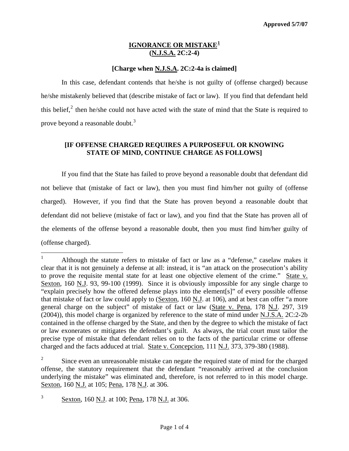# **IGNORANCE OR MISTAKE[1](#page-0-0) (N.J.S.A. 2C:2-4)**

# **[Charge when N.J.S.A. 2C:2-4a is claimed]**

In this case, defendant contends that he/she is not guilty of (offense charged) because he/she mistakenly believed that (describe mistake of fact or law). If you find that defendant held this belief, $2$  then he/she could not have acted with the state of mind that the State is required to prove beyond a reasonable doubt.<sup>[3](#page-0-2)</sup>

# **[IF OFFENSE CHARGED REQUIRES A PURPOSEFUL OR KNOWING STATE OF MIND, CONTINUE CHARGE AS FOLLOWS]**

If you find that the State has failed to prove beyond a reasonable doubt that defendant did not believe that (mistake of fact or law), then you must find him/her not guilty of (offense charged). However, if you find that the State has proven beyond a reasonable doubt that defendant did not believe (mistake of fact or law), and you find that the State has proven all of the elements of the offense beyond a reasonable doubt, then you must find him/her guilty of (offense charged).

<span id="page-0-0"></span> $\frac{1}{1}$  Although the statute refers to mistake of fact or law as a "defense," caselaw makes it clear that it is not genuinely a defense at all: instead, it is "an attack on the prosecution's ability to prove the requisite mental state for at least one objective element of the crime." State v. Sexton, 160 N.J. 93, 99-100 (1999). Since it is obviously impossible for any single charge to "explain precisely how the offered defense plays into the element[s]" of every possible offense that mistake of fact or law could apply to (Sexton, 160 N.J. at 106), and at best can offer "a more general charge on the subject" of mistake of fact or law (State v. Pena, 178 N.J. 297, 319 (2004)), this model charge is organized by reference to the state of mind under N.J.S.A. 2C:2-2b contained in the offense charged by the State, and then by the degree to which the mistake of fact or law exonerates or mitigates the defendant's guilt. As always, the trial court must tailor the precise type of mistake that defendant relies on to the facts of the particular crime or offense charged and the facts adduced at trial. State v. Concepcion, 111 N.J. 373, 379-380 (1988).

<span id="page-0-3"></span><span id="page-0-1"></span><sup>2</sup> Since even an unreasonable mistake can negate the required state of mind for the charged offense, the statutory requirement that the defendant "reasonably arrived at the conclusion underlying the mistake" was eliminated and, therefore, is not referred to in this model charge. Sexton, 160 <u>N.J.</u> at 105; Pena, 178 N.J. at 306.

<span id="page-0-2"></span><sup>3</sup> Sexton, 160 N.J. at 100; Pena, 178 N.J. at 306.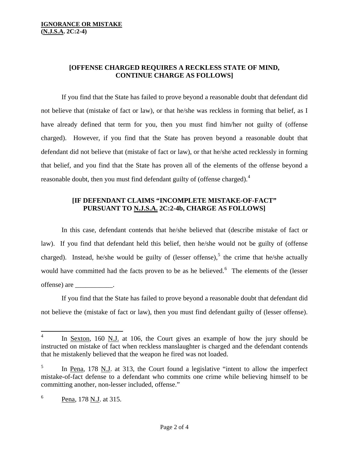# **[OFFENSE CHARGED REQUIRES A RECKLESS STATE OF MIND, CONTINUE CHARGE AS FOLLOWS]**

 If you find that the State has failed to prove beyond a reasonable doubt that defendant did not believe that (mistake of fact or law), or that he/she was reckless in forming that belief, as I have already defined that term for you, then you must find him/her not guilty of (offense charged). However, if you find that the State has proven beyond a reasonable doubt that defendant did not believe that (mistake of fact or law), or that he/she acted recklessly in forming that belief, and you find that the State has proven all of the elements of the offense beyond a reasonable doubt, then you must find defendant guilty of (offense charged).<sup>[4](#page-0-3)</sup>

#### **[IF DEFENDANT CLAIMS "INCOMPLETE MISTAKE-OF-FACT" PURSUANT TO N.J.S.A. 2C:2-4b, CHARGE AS FOLLOWS]**

In this case, defendant contends that he/she believed that (describe mistake of fact or law). If you find that defendant held this belief, then he/she would not be guilty of (offense charged). Instead, he/she would be guilty of (lesser offense),  $5$  the crime that he/she actually would have committed had the facts proven to be as he believed.<sup>[6](#page-1-1)</sup> The elements of the (lesser offense) are \_\_\_\_\_\_\_\_\_\_\_.

 If you find that the State has failed to prove beyond a reasonable doubt that defendant did not believe the (mistake of fact or law), then you must find defendant guilty of (lesser offense).

<span id="page-1-2"></span> $\overline{a}$ 

<sup>4</sup> In Sexton, 160 N.J. at 106, the Court gives an example of how the jury should be instructed on mistake of fact when reckless manslaughter is charged and the defendant contends that he mistakenly believed that the weapon he fired was not loaded.

<span id="page-1-0"></span><sup>5</sup> In Pena, 178 N.J. at 313, the Court found a legislative "intent to allow the imperfect mistake-of-fact defense to a defendant who commits one crime while believing himself to be committing another, non-lesser included, offense."

<span id="page-1-1"></span><sup>6</sup> Pena, 178 N.J. at 315.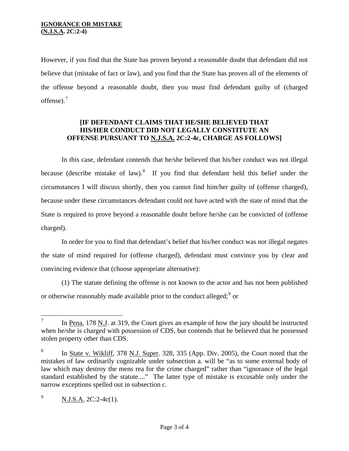However, if you find that the State has proven beyond a reasonable doubt that defendant did not believe that (mistake of fact or law), and you find that the State has proven all of the elements of the offense beyond a reasonable doubt, then you must find defendant guilty of (charged offense). $<sup>7</sup>$  $<sup>7</sup>$  $<sup>7</sup>$ </sup>

#### **[IF DEFENDANT CLAIMS THAT HE/SHE BELIEVED THAT HIS/HER CONDUCT DID NOT LEGALLY CONSTITUTE AN OFFENSE PURSUANT TO N.J.S.A. 2C:2-4c, CHARGE AS FOLLOWS]**

 In this case, defendant contends that he/she believed that his/her conduct was not illegal because (describe mistake of law).<sup>[8](#page-2-0)</sup> If you find that defendant held this belief under the circumstances I will discuss shortly, then you cannot find him/her guilty of (offense charged), because under these circumstances defendant could not have acted with the state of mind that the State is required to prove beyond a reasonable doubt before he/she can be convicted of (offense charged).

 In order for you to find that defendant's belief that his/her conduct was not illegal negates the state of mind required for (offense charged), defendant must convince you by clear and convincing evidence that (choose appropriate alternative):

 (1) The statute defining the offense is not known to the actor and has not been published or otherwise reasonably made available prior to the conduct alleged;  $9$  or

<sup>—&</sup>lt;br>7 In Pena, 178 N.J. at 319, the Court gives an example of how the jury should be instructed when he/she is charged with possession of CDS, but contends that he believed that he possessed stolen property other than CDS.

<span id="page-2-2"></span><span id="page-2-0"></span><sup>8</sup> In State v. Wikliff, 378 N.J. Super. 328, 335 (App. Div. 2005), the Court noted that the mistakes of law ordinarily cognizable under subsection a. will be "as to some external body of law which may destroy the mens rea for the crime charged" rather than "ignorance of the legal standard established by the statute...." The latter type of mistake is excusable only under the narrow exceptions spelled out in subsection c.

<span id="page-2-1"></span><sup>9</sup> N.J.S.A. 2C:2-4c(1).